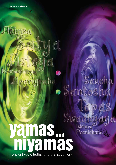n8 El

Brahmacharya perigreiha o Samtosha

 $\widehat{\mathbb{C}}$ 

Sancha

 $C(\mathbb{R}^d)$ 

Pranidhana

Ishvara<sup>i</sup>

et S

# – ancient yogic truths for the 21st century **yamas and niyamas**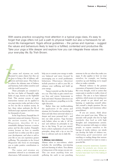With asana practice occupying most attention in a typical yoga class, it's easy to forget that yoga offers not just a path to physical health but also a framework for allround life management. Yoga's ethical guidelines – the yamas and niyamas – suggest the values and behaviours likely to lead to a fulfilled, contented and productive life. Take your yoga a little deeper and explore how you can integrate these values into your everyday life. By Trish Brown.

The ya<br>discusse<br>the keys<br>discover<br>to achie<br>and har:<br>with the<br>Th The yamas and niyamas are rarely discussed in asana classes but they are the keys to living a life of fullness, selfdiscovery and inner peace. They help us to achieve the ultimate state of balance and harmony, both within ourselves and with the world around us.

These principles are contained in the first two limbs of Patanjali's eight limbs of yoga, known as the Eightfold Path. This ancient system of yogic instructions (sutras) can be applied to our yoga practice today and also to how we live our life in modern society. In fact, these values underpin the life of dedicated yogic aspirants and have done for thousands of years.

In his Yoga Sutras, Patanjali lists 10 important yamas and niyamas. However, the ancient treatise, the *Srimad Bhagavatam*, describes 24 in a remarkable dialogue between a warrior prince and his elite student. Patanjali's version focuses on how to ennoble yourself: how to refine your life to assist your development, and what to add to your life so you can experience greater wellbeing. The principles in the *Srimad Bhagavatam* also focus on encouraging you to make positive contributions to the world.

The yamas and niyamas are sometimes referred to as restraints and observances. Self-restraints (or controls) help you to contain your energy to make you balanced and more focused by encouraging you to avoid problematic behaviours. Observances (directives) include practices to add to your life, to enhance your wellbeing and build up your energy.

Yamas (controls) are like the brakes on a car. They help us gain control over our lives and restore homeostasis to body and mind. Niyamas (directives) are like the accelerator, propelling us in the right direction.

Rather than just intellectualising the application of the yamas and niyamas, let's broaden our knowledge of them and take these universal values to a deeper and more personal level – and into our daily practice. Yoga becomes truly holistic when we take it 'off the mat' and embrace its principles in our day to day living. To get you started, here's a short explanation of each of the principles, along with a tip or two for how to cultivate each one in daily life.

# **YAMAS**

# **1. Ahimsa: non-violence**

Ahimsa refers to non-violence, which includes the non-killing, non-injuring and non-harming of others. True ahimsa is being aware of the energy you put out. This can mean anything from not polluting the earth to not punching someone in the eye when they make you angry. It also applies to how we treat ourselves, for example, not beating ourselves up and thinking we're stupid when we make a mistake.

Physical violence is the grossest expression of humanity's baser instincts. But every thought, word or action that causes pain to another is really a form of violence. The aim is to have balanced ambition, which means not running over other people to get ahead and not harming or neglecting yourself either. Ask yourself a simple question: Do my actions, thoughts and intentions reflect peacefulness?

If you are unsure, think about where you spend your time. When we associate with people who live by high standards, they feed us with high thoughts and compassionate actions. When we associate with angry or violent people, or expose ourselves to the barrage of media violence, our minds can develop the habit of violence too. Cultivating good association and watching or reading things that nurture us can be essential if we want to create a peaceful life.

Cultivate consumer awareness. Question whether the products you choose are healthy or ethical and whether animals or humans have been hurt in the making of that product.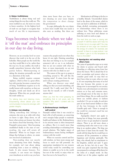#### **2. Satya: truthfulness**

Truthfulness is about being real and seeing things the way they really are. The more truthful we are, the more we come to know ourselves. At the highest level of truth we can begin to recognise that much of our life is impermanent. done more hours than you have, or not cheating on your taxes despite the temptation to short change the government!

In yogic philosophy the very desire to have more wealth than one needs is also seen as stealing. But there are

# Yoga becomes truly holistic when we take it 'off the mat' and embrace its principles in our day to day living.

However, on an everyday level we soon discover that truth is in the eye of the beholder. Most people see the world the way they would like it to be, rather than the way it is. In any conflict, the truth is usually somewhere between what both parties believe. Misinterpreting or taking the situation personally can lead to a distortion of the truth.

Being truthful requires constant vigilance, which at first is a great effort, but with practise becomes a natural way of living. Truthfulness requires us to be totally honest with ourselves, so that our thoughts, words and deeds are all in alignment. When they are, people sense the truth within us.

Try talking less and listening more. Empowering others allows your own communication to become stronger, with greater integrity.

#### **3. Asteya: non-stealing**

Taking something that belongs to someone else sets us at odds with what we know is right. Deep down, we all know what actions are honest, but often our desires cloud that knowing. One of Patanjali's sutras states: 'After becoming established finally in the state of nonstealing, the yogi will attain all diamonds.' When we no longer covet things that belongs to others, we attain our own level of satisfaction.

Non-stealing does not merely mean abstaining from theft. Stealing, for example, isn't just about taking something from a store or robbing a bank. It also means honesty. For example, it can mean not fudging your timesheets at work to say you have

reasons why people steal even when they know it's not right. Desiring something that does not belong to us, for example someone's job or car, is an indication that we are not content with what we have, or more importantly, we are not content with who we think we are!

The nature of the ego is to grasp at everything around it. We call this the 'wanting mind'. It arises from the ego and is always creating preferences.

When you discover your mind telling you that you need something, ask yourself: Do I really need this? Do I want this for myself, or will it benefit anyone else?

When you find the mind grasping for something that is not yours, ask the question: Why aren't I content with the things I have?

# **4. Brahmacharya: intelligent self-control**

Patanjali realised that it was crucial to lead a life of self-restraint, as conserving one's energies helps people to maintain health and balance in life. Brahmacharya in its strictest sense is often interpreted as celibacy. But it is much more than avoiding relationships or refraining from sexual relations. The higher aspect of brahmacharya means having intelligent contact with the world.

When we exercise control and live with wisdom, we have more energy and focus to reach our full potential. An appropriate translation for our western world today would be controlling our desires to enable us to be in the world but not of the world, to enjoy what we have but not to be bound by it.

Moderation in all things is the key to a healthy lifestyle. Uncontrolled desires lead to the abuse of the senses, which in turn can lead to addictions of all kinds – drugs, alcohol, overeating, pornography or relationships where there is sex without love. These addictions create suffering at every level and distract us from the truth we seek as yogis.

The next time you have a craving ask yourself: If I fulfil this desire will it help me or hinder me on my yogic path? You may be amazed at how yoga can transform the energy of a desire. For example, ask yourself: Is there is a yoga posture I can do before I give in to the temptation to have a chocolate?

# **5. Aparigraha: not wanting what others have**

The yama of aparigraha urges us to resist the desire to pursue and hoard stuff. Hoarding or collecting arises from fear about the future. We're afraid that if we don't accumulate and protect what we consider good stuff, we may find we don't have what we want, when we want it. It's not surprising that many of us feel this way because this anxiety to get things now is encouraged by our society. Nearly every advertisement on television entices us to buy and consume more, even though most of the time we don't need these things. Do we really need the latest car, mobile phone or fashion wardrobe? Or can we make do and give part of our hard-earned dollars to some of the less fortunate in the world. Gandhi aptly said: 'There is enough in the world for everyone's need but not for their greed'.

Aparigraha doesn't just apply to having lots of things, but more generally refers to how we get attached to material objects. There is an old story about a wandering monk who went to see a wise king in an opulent palace. The king was quite keen to learn from the monk. The monk told the king that he would have to renounce all his possessions to achieve happiness and develop spiritually. The king, who already had no attachment to his kingdom, smiled and said: 'I agree with you. In fact, let's do it now'. The monk was quite surprised that the king was prepared to exchange all his finery for the robes of a simple monk. As they walked out of the palace together and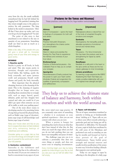away from the city, the monk suddenly remembered that he had left behind his begging bowl. He panicked, insisting that they return straight away to the palace to retrieve his only possession. The king looked at the monk in amazement. 'After all that I have given up today, can't you even let go of your begging bowl?' he said.

The point of this story is that attachment is not related to the size or quantity of our possessions. Something small can bind us just as much as a whole kingdom.

Make a list, daily, of the people who you will give a small gift to. Consider giving more of your time and energy to good works.

#### **NIYAMAS**

#### **1. Saucha: purity**

Saucha is purity on all levels, in body and mind. This also means purity in intention, thought and expression. Good habits, like bathing, purify the body externally, and asana (posture work) and pranayama (breath work) cleanse and purify the body internally.

More important than the physical cleansing, however, is the cleansing of the mind. This is the cleansing of negative thoughts that no longer serve you, including those emotions that we wrangle with, such as anger, hatred, greed, delusion, pride and lust. Imagine how centred and calm you would be if you didn't get upset when someone cut you off in traffic or stole your parking space!

One of the most direct routes to developing saucha is by practising forms of yoga that go beyond the physical body, such as bhakti yoga (yoga of devotion), jnana yoga (yoga of self-knowledge) and karma yoga (yoga of action).

Keep your house clean and tidy so you live in a space that does not feel cluttered and dirty, enhancing feelings of orderliness and wellbeing.

Consider going on a yogic diet so that you have the energy and strength to best give of yourself to the world and to reach your full potential.

# **2. Santosha: contentment**

Santosha is the fulfilment and contentment that has to be cultivated to free the mind. If you are not content it is hard to concentrate in any aspect of your

# **[Postures for the Yamas and Niyamas]**

These practices come from the Dru Yoga tradition www.druexperience.com

#### **[yamas]**

**Ahimsa** Seat of Compassion – opens the heart to feelings of compassion for both self and others

#### **Satyam**

Practice Vishuddhi Dharanam, as it strengthens the chakra centre of communication

#### **Asteya**

Stand in nature and practise the flowing Dru Tree Pose to experience the fullness and oneness of your true nature.

#### **Brahmacharya**

Practice of Brahmacharyasana – the Celibate's Pose to help you to contain your energies

#### **Aparigraha**

Parsvottanasana (Charity posture) has the power to open your heart centre (Anahata Chakra) and engenders the qualities of generosity, compassion and selflessness

# **[niyamas]**

Natarajasana allows a natural flow out of the body of unwanted thoughts, emotions and energies

#### **Santosha**

**Saucha** 

Savangasana, the tranquillity posture alleviates symptoms of emotional turmoil and mental stress

#### **Tapas**

Vrksasana – For time immemorial this has been the posture used as a strengthening for tapas by saints and sages

#### **Swadhyaya**

Meditate on a still point in the heart or the ajna centre as these are the two classic gateways to inner knowledge

### **Ishvara pranidhana**

Try learning a yoga sequence like EBR3\* 'Awakening the Heart' that helps you create a positive relationship with your own highest inner strength and light

# They help us to achieve the ultimate state of balance and harmony, both within ourselves and with the world around us.

life, never mind your yoga practice. If you constantly want more of something – whether it is excitement or even spiritual experiences – then you are not content with where you are now.

When a person is hungry for something they tend to focus on what they don't have instead of what they do. But when you reach the stage where you feel you do not lack anything then you can know true tranquillity and peace of mind.

The challenge yoga sets you is to cultivate a personality that does not crave things or people, and does not waver even in tempting circumstances.

Every morning begin your day by being grateful for three things in your life, so that you see your cup as half full rather than half empty.

#### **3. Tapas: self-discipline**

The art of tapas, sometimes translated as austerity or letting go, is fundamentally about 'sticking at it'. Tapas calls on you to direct your effort towards achieving a particular goal and not being put off by discomfort or difficulties. For thousands of years, yogis in India have meditated in the cold caves of the Himalayas and performed acts such as standing on one leg for months and focused on God in their pursuit of the goal of enlightenment. Tapas builds great strength and internal reserves and usually involves purification of the senses in some way. It involves leading a lifestyle that supports your spiritual goals.

Today we can engage in tapas by adhering to the discipline of a daily yoga